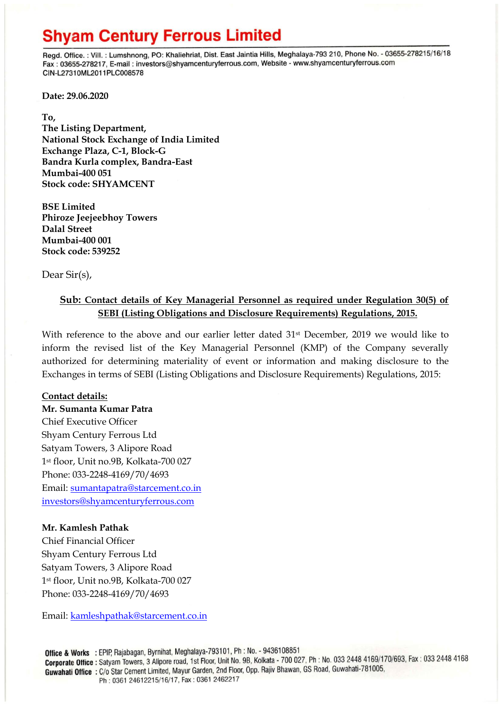# **Shyam Century Ferrous Limited**

Regd. Office.: Vill.: Lumshnong, PO: Khaliehriat, Dist. East Jaintia Hills, Meghalaya-793 210, Phone No. - 03655-278215/16/18 Fax: 03655-278217, E-mail: investors@shyamcenturyferrous.com, Website - www.shyamcenturyferrous.com CIN-L27310ML2011PLC008578

**Date: 29.06.2020**

**To,** 

**The Listing Department, National Stock Exchange of India Limited Exchange Plaza, C-1, Block-G Bandra Kurla complex, Bandra-East Mumbai-400 051 Stock code: SHYAMCENT**

**BSE Limited Phiroze Jeejeebhoy Towers Dalal Street Mumbai-400 001 Stock code: 539252**

Dear Sir(s),

### **Sub: Contact details of Key Managerial Personnel as required under Regulation 30(5) of SEBI (Listing Obligations and Disclosure Requirements) Regulations, 2015.**

With reference to the above and our earlier letter dated 31<sup>st</sup> December, 2019 we would like to inform the revised list of the Key Managerial Personnel (KMP) of the Company severally authorized for determining materiality of event or information and making disclosure to the Exchanges in terms of SEBI (Listing Obligations and Disclosure Requirements) Regulations, 2015:

#### **Contact details:**

**Mr. Sumanta Kumar Patra** Chief Executive Officer Shyam Century Ferrous Ltd Satyam Towers, 3 Alipore Road 1st floor, Unit no.9B, Kolkata-700 027 Phone: 033-2248-4169/70/4693 Email: [sumantapatra@starcement.co.in](mailto:sumantapatra@starcement.co.in) [investors@shyamcenturyferrous.com](mailto:investors@shyamcenturyferrous.com)

#### **Mr. Kamlesh Pathak**

Chief Financial Officer Shyam Century Ferrous Ltd Satyam Towers, 3 Alipore Road 1st floor, Unit no.9B, Kolkata-700 027 Phone: 033-2248-4169/70/4693

Email: [kamleshpathak@starcement.co.in](mailto:kamleshpathak@starcement.co.in)